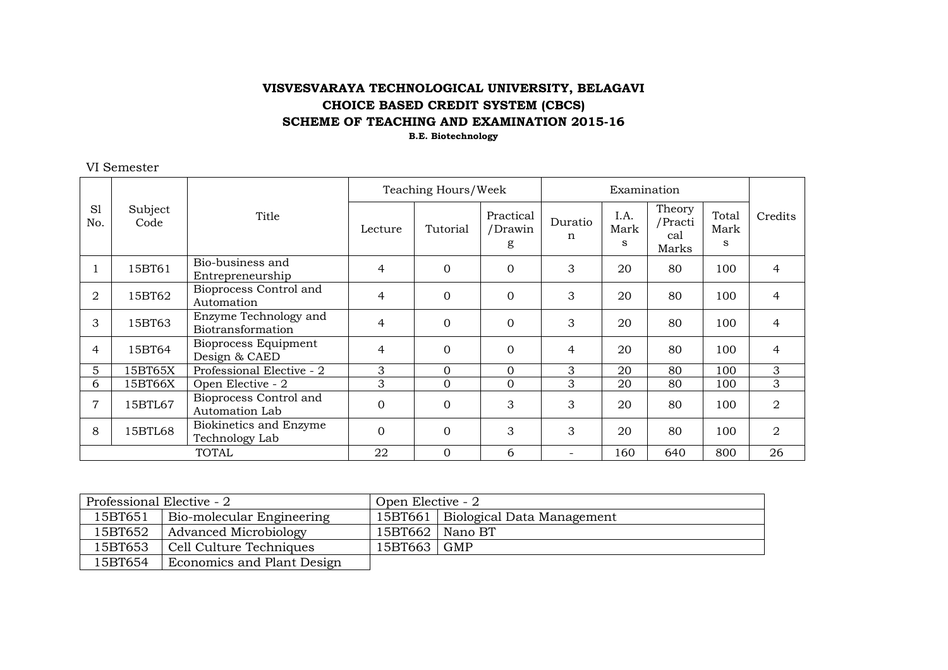### **VISVESVARAYA TECHNOLOGICAL UNIVERSITY, BELAGAVI CHOICE BASED CREDIT SYSTEM (CBCS) SCHEME OF TEACHING AND EXAMINATION 2015-16**

**B.E. Biotechnology**

#### VI Semester

|                |                 |                                            | Teaching Hours/Week |             |                           |              |                   |                                   |                    |                |
|----------------|-----------------|--------------------------------------------|---------------------|-------------|---------------------------|--------------|-------------------|-----------------------------------|--------------------|----------------|
| S1<br>No.      | Subject<br>Code | Title                                      | Lecture             | Tutorial    | Practical<br>/Drawin<br>g | Duratio<br>n | I.A.<br>Mark<br>S | Theory<br>/Practi<br>cal<br>Marks | Total<br>Mark<br>S | Credits        |
|                | 15BT61          | Bio-business and<br>Entrepreneurship       | $\overline{4}$      | $\Omega$    | $\mathbf 0$               | 3            | 20                | 80                                | 100                | 4              |
| 2              | 15BT62          | Bioprocess Control and<br>Automation       | 4                   | $\mathbf 0$ | $\mathbf{0}$              | 3            | 20                | 80                                | 100                | 4              |
| 3              | 15BT63          | Enzyme Technology and<br>Biotransformation | 4                   | $\Omega$    | $\Omega$                  | 3            | 20                | 80                                | 100                | $\overline{4}$ |
| 4              | 15BT64          | Bioprocess Equipment<br>Design & CAED      | $\overline{4}$      | $\Omega$    | $\mathbf{0}$              | 4            | 20                | 80                                | 100                | 4              |
| 5              | 15BT65X         | Professional Elective - 2                  | 3                   | $\Omega$    | $\Omega$                  | 3            | 20                | 80                                | 100                | 3              |
| 6              | 15BT66X         | Open Elective - 2                          | 3                   | $\Omega$    | $\Omega$                  | 3            | 20                | 80                                | 100                | 3              |
| $\overline{7}$ | 15BTL67         | Bioprocess Control and<br>Automation Lab   | $\mathbf 0$         | $\Omega$    | 3                         | 3            | 20                | 80                                | 100                | 2              |
| 8              | 15BTL68         | Biokinetics and Enzyme<br>Technology Lab   | $\overline{0}$      | $\Omega$    | 3                         | 3            | 20                | 80                                | 100                | 2              |
| TOTAL          |                 | 22                                         | $\overline{0}$      | 6           |                           | 160          | 640               | 800                               | 26                 |                |

| Professional Elective - 2 |                                   | Open Elective - 2 |                                      |  |  |  |  |
|---------------------------|-----------------------------------|-------------------|--------------------------------------|--|--|--|--|
| 15BT651                   | Bio-molecular Engineering         |                   | 15BT661   Biological Data Management |  |  |  |  |
| 15BT652                   | Advanced Microbiology             |                   | $15BT662$   Nano BT                  |  |  |  |  |
| 15BT653                   | Cell Culture Techniques           | 15BT663   GMP     |                                      |  |  |  |  |
| 15BT654                   | <b>Economics and Plant Design</b> |                   |                                      |  |  |  |  |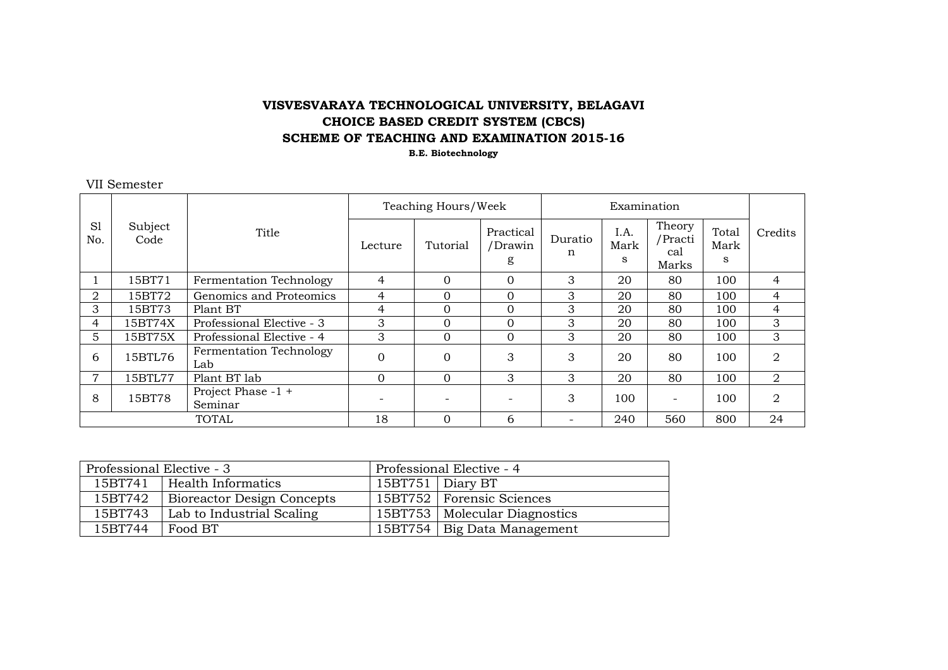# **VISVESVARAYA TECHNOLOGICAL UNIVERSITY, BELAGAVI CHOICE BASED CREDIT SYSTEM (CBCS) SCHEME OF TEACHING AND EXAMINATION 2015-16**

**B.E. Biotechnology**

#### VII Semester

|                       |                 |                                | Teaching Hours/Week      |          |                           |              |                   |                                   |                    |         |
|-----------------------|-----------------|--------------------------------|--------------------------|----------|---------------------------|--------------|-------------------|-----------------------------------|--------------------|---------|
| S <sub>1</sub><br>No. | Subject<br>Code | Title                          | Lecture                  | Tutorial | Practical<br>/Drawin<br>g | Duratio<br>n | I.A.<br>Mark<br>S | Theory<br>/Practi<br>cal<br>Marks | Total<br>Mark<br>S | Credits |
|                       | 15BT71          | Fermentation Technology        | 4                        | $\Omega$ | $\Omega$                  | 3            | 20                | 80                                | 100                | 4       |
| 2                     | 15BT72          | Genomics and Proteomics        | 4                        | $\Omega$ | $\Omega$                  | 3            | 20                | 80                                | 100                | 4       |
| 3                     | 15BT73          | Plant BT                       | 4                        | $\Omega$ | $\Omega$                  | 3            | 20                | 80                                | 100                | 4       |
| 4                     | 15BT74X         | Professional Elective - 3      | 3                        | $\Omega$ | $\Omega$                  | 3            | 20                | 80                                | 100                | 3       |
| 5                     | 15BT75X         | Professional Elective - 4      | 3                        | $\Omega$ | $\Omega$                  | 3            | 20                | 80                                | 100                | 3       |
| 6                     | 15BTL76         | Fermentation Technology<br>Lab | $\Omega$                 | $\Omega$ | 3                         | 3            | 20                | 80                                | 100                | 2       |
| 7                     | 15BTL77         | Plant BT lab                   | $\Omega$                 | $\Omega$ | 3                         | 3            | 20                | 80                                | 100                | 2       |
| 8                     | 15BT78          | Project Phase -1 +<br>Seminar  | $\overline{\phantom{a}}$ |          | $\overline{\phantom{a}}$  | 3            | 100               | $\overline{\phantom{a}}$          | 100                | 2       |
| <b>TOTAL</b>          |                 | 18                             | $\Omega$                 | 6        |                           | 240          | 560               | 800                               | 24                 |         |

| Professional Elective - 3 |                                   | Professional Elective - 4 |                                 |  |  |  |
|---------------------------|-----------------------------------|---------------------------|---------------------------------|--|--|--|
| 15BT741                   | Health Informatics                |                           | 15BT751   Diary BT              |  |  |  |
| 15BT742                   | <b>Bioreactor Design Concepts</b> |                           | 15BT752   Forensic Sciences     |  |  |  |
| 15BT743                   | Lab to Industrial Scaling         |                           | 15BT753   Molecular Diagnostics |  |  |  |
| 15BT744                   | Food BT                           |                           | 15BT754   Big Data Management   |  |  |  |